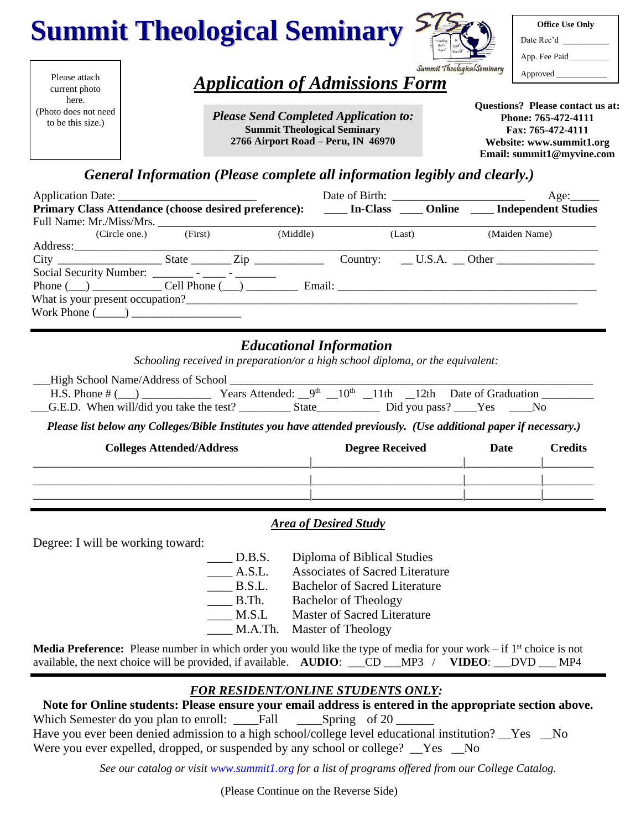



| <b>Office Use Only</b> |
|------------------------|
| Date Rec'd             |
| App. Fee Paid          |
| Approved               |

Please attach current photo here. (Photo does not need to be this size.)

# *Application of Admissions Form*

*Please Send Completed Application to:* **Summit Theological Seminary 2766 Airport Road – Peru, IN 46970**

**Questions? Please contact us at: Phone: 765-472-4111 Fax: 765-472-4111 Website: www.summit1.org Email: summit1@myvine.com**

# *General Information (Please complete all information legibly and clearly.)*

|                                                         |                       |          |        | Age:                                                                                                         |
|---------------------------------------------------------|-----------------------|----------|--------|--------------------------------------------------------------------------------------------------------------|
|                                                         |                       |          |        | Primary Class Attendance (choose desired preference): ______ In-Class _____ Online _____ Independent Studies |
|                                                         |                       |          |        |                                                                                                              |
|                                                         | (Circle one.) (First) | (Middle) | (Last) | (Maiden Name)                                                                                                |
|                                                         |                       |          |        |                                                                                                              |
|                                                         |                       |          |        |                                                                                                              |
|                                                         |                       |          |        |                                                                                                              |
| Phone $(\_\_)$ $\_\_$ Cell Phone $(\_\_)$ $\_\_$ Email: |                       |          |        |                                                                                                              |
| What is your present occupation?                        |                       |          |        |                                                                                                              |
| Work Phone $(\_\_)$                                     |                       |          |        |                                                                                                              |

## *Educational Information*

*Schooling received in preparation/or a high school diploma, or the equivalent:*

| __High School Name/Address of School       |                                                                     |              |  |                   |  |
|--------------------------------------------|---------------------------------------------------------------------|--------------|--|-------------------|--|
| H.S. Phone $#($ )                          | Years Attended: $9th$ 10 <sup>th</sup> 11th 12th Date of Graduation |              |  |                   |  |
| $-G.E.D.$ When will/did you take the test? |                                                                     | <b>State</b> |  | Did you pass? Yes |  |

*Please list below any Colleges/Bible Institutes you have attended previously. (Use additional paper if necessary.)*

| <b>Colleges Attended/Address</b> | <b>Degree Received</b> | Date | <b>Credits</b> |
|----------------------------------|------------------------|------|----------------|
|                                  |                        |      |                |
|                                  |                        |      |                |

### *Area of Desired Study*

Degree: I will be working toward:

D.B.S. Diploma of Biblical Studies

- A.S.L. Associates of Sacred Literature
- B.S.L. Bachelor of Sacred Literature
- B.Th. Bachelor of Theology
- M.S.L Master of Sacred Literature
- M.A.Th. Master of Theology

Media Preference: Please number in which order you would like the type of media for your work – if 1<sup>st</sup> choice is not available, the next choice will be provided, if available. **AUDIO**: \_\_\_CD \_\_\_MP3 / **VIDEO**: \_\_\_DVD \_\_\_ MP4

# *FOR RESIDENT/ONLINE STUDENTS ONLY:*

 **Note for Online students: Please ensure your email address is entered in the appropriate section above.**

Which Semester do you plan to enroll: \_\_\_\_Fall \_\_\_\_\_Spring of 20 \_\_\_\_\_\_\_\_\_\_\_\_\_\_\_\_ Have you ever been denied admission to a high school/college level educational institution? Yes No Were you ever expelled, dropped, or suspended by any school or college?  $\_\text{Yes}$   $\_\text{No}$ 

*See our catalog or visit [www.summit1.org](http://www.summit1.org/) for a list of programs offered from our College Catalog.*